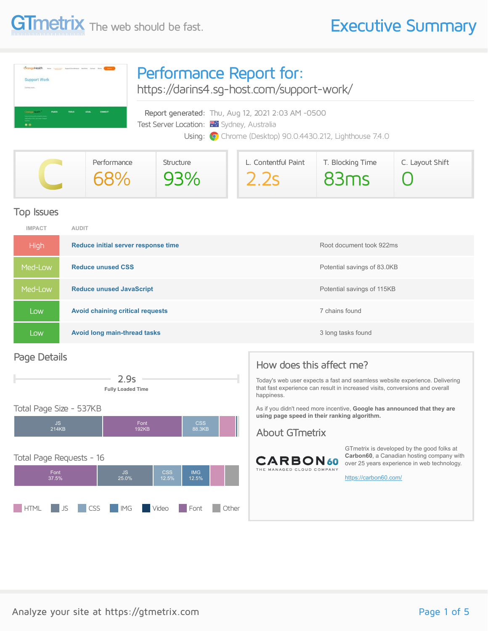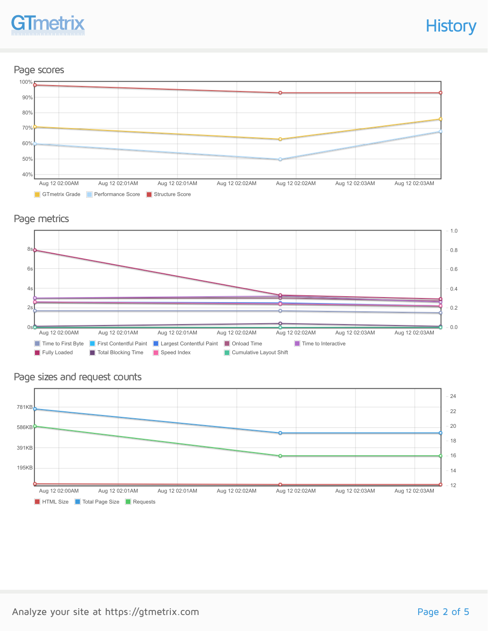## **Tmetr**

**History** 

### Page scores



### Page metrics



### Page sizes and request counts

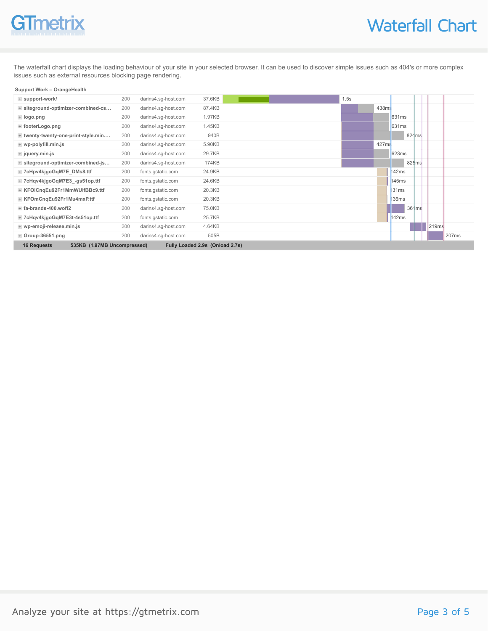

The waterfall chart displays the loading behaviour of your site in your selected browser. It can be used to discover simple issues such as 404's or more complex issues such as external resources blocking page rendering.

#### **Support Work – OrangeHealth**

| + support-work/                                                                      | 200 | darins4.sg-host.com | 37.6KB | .5s |       |                   |                   |
|--------------------------------------------------------------------------------------|-----|---------------------|--------|-----|-------|-------------------|-------------------|
| + siteground-optimizer-combined-cs                                                   | 200 | darins4.sg-host.com | 87.4KB |     | 438ms |                   |                   |
| + logo.png                                                                           | 200 | darins4.sg-host.com | 1.97KB |     |       | 631 <sub>ms</sub> |                   |
| + footerLogo.png                                                                     | 200 | darins4.sq-host.com | 1.45KB |     |       | 631 <sub>ms</sub> |                   |
| + twenty-twenty-one-print-style.min                                                  | 200 | darins4.sg-host.com | 940B   |     |       | 824 <sub>ms</sub> |                   |
| $#$ wp-polyfill.min.js                                                               | 200 | darins4.sg-host.com | 5.90KB |     | 427ms |                   |                   |
| + jquery.min.js                                                                      | 200 | darins4.sg-host.com | 29.7KB |     |       | 623ms             |                   |
| + siteground-optimizer-combined-js                                                   | 200 | darins4.sg-host.com | 174KB  |     |       | 825ms             |                   |
| + 7cHpv4kjgoGqM7E_DMs8.ttf                                                           | 200 | fonts.gstatic.com   | 24.9KB |     |       | 142ms             |                   |
| + 7cHqv4kjgoGqM7E3_-gs51op.ttf                                                       | 200 | fonts.gstatic.com   | 24.6KB |     |       | 145ms             |                   |
| + KFOICngEu92Fr1MmWUIfBBc9.ttf                                                       | 200 | fonts.gstatic.com   | 20.3KB |     |       | 131ms             |                   |
| <b>E</b> KFOmCnqEu92Fr1Mu4mxP.ttf                                                    | 200 | fonts.gstatic.com   | 20.3KB |     |       | 136ms             |                   |
| $+$ fa-brands-400.woff2                                                              | 200 | darins4.sg-host.com | 75.0KB |     |       | 361ms             |                   |
| + 7cHqv4kjgoGqM7E3t-4s51op.ttf                                                       | 200 | fonts.gstatic.com   | 25.7KB |     |       | 142ms             |                   |
| + wp-emoji-release.min.js                                                            | 200 | darins4.sg-host.com | 4.64KB |     |       |                   | 219 <sub>ms</sub> |
| $+$ Group-36551.png                                                                  | 200 | darins4.sq-host.com | 505B   |     |       |                   | 207 <sub>ms</sub> |
| 535KB (1.97MB Uncompressed)<br>Fully Loaded 2.9s (Onload 2.7s)<br><b>16 Requests</b> |     |                     |        |     |       |                   |                   |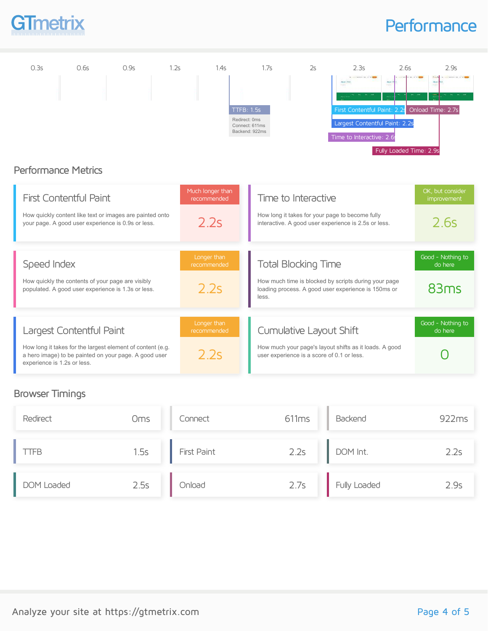

### **Performance**



### Performance Metrics

| <b>First Contentful Paint</b><br>How quickly content like text or images are painted onto<br>your page. A good user experience is 0.9s or less.                                | Much Ionger than<br>recommended<br>2.2s | Time to Interactive<br>How long it takes for your page to become fully<br>interactive. A good user experience is 2.5s or less.                     | OK, but consider<br>improvement<br>2.6s |
|--------------------------------------------------------------------------------------------------------------------------------------------------------------------------------|-----------------------------------------|----------------------------------------------------------------------------------------------------------------------------------------------------|-----------------------------------------|
| Speed Index<br>How quickly the contents of your page are visibly<br>populated. A good user experience is 1.3s or less.                                                         | Longer than<br>recommended<br>2.2s      | <b>Total Blocking Time</b><br>How much time is blocked by scripts during your page<br>loading process. A good user experience is 150ms or<br>less. | Good - Nothing to<br>do here<br>83ms    |
| Largest Contentful Paint<br>How long it takes for the largest element of content (e.g.<br>a hero image) to be painted on your page. A good user<br>experience is 1.2s or less. | Longer than<br>recommended<br>22s       | Cumulative Layout Shift<br>How much your page's layout shifts as it loads. A good<br>user experience is a score of 0.1 or less.                    | Good - Nothing to<br>do here            |

### Browser Timings

| Redirect    | <b>Oms</b> | Connect     | 611ms | Backend      | 922ms |
|-------------|------------|-------------|-------|--------------|-------|
| <b>TTFB</b> | 1.5s       | First Paint | 2.2s  | DOM Int.     | 2.2s  |
| DOM Loaded  | 2.5s       | Onload      | 2.7s  | Fully Loaded | 2.9s  |